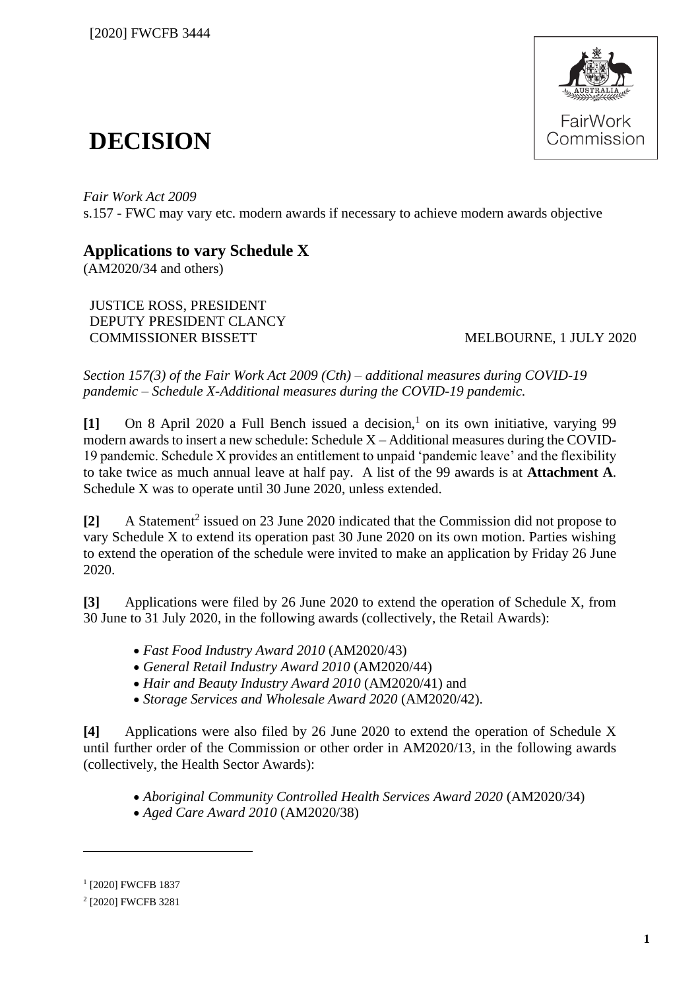

# **DECISION**

*Fair Work Act 2009*  s.157 - FWC may vary etc. modern awards if necessary to achieve modern awards objective

## **Applications to vary Schedule X**

(AM2020/34 and others)

JUSTICE ROSS, PRESIDENT DEPUTY PRESIDENT CLANCY COMMISSIONER BISSETT MELBOURNE, 1 JULY 2020

*Section 157(3) of the Fair Work Act 2009 (Cth) – additional measures during COVID-19 pandemic – Schedule X-Additional measures during the COVID-19 pandemic.*

[1] On 8 April 2020 a Full Bench issued a decision,<sup>1</sup> on its own initiative, varying 99 modern awards to insert a new schedule: Schedule X – Additional measures during the COVID-19 pandemic. Schedule X provides an entitlement to unpaid 'pandemic leave' and the flexibility to take twice as much annual leave at half pay. A list of the 99 awards is at **Attachment A**. Schedule X was to operate until 30 June 2020, unless extended.

[2] A Statement<sup>2</sup> issued on 23 June 2020 indicated that the Commission did not propose to vary Schedule X to extend its operation past 30 June 2020 on its own motion. Parties wishing to extend the operation of the schedule were invited to make an application by Friday 26 June 2020.

**[3]** Applications were filed by 26 June 2020 to extend the operation of Schedule X, from 30 June to 31 July 2020, in the following awards (collectively, the Retail Awards):

- *Fast Food Industry Award 2010* (AM2020/43)
- *General Retail Industry Award 2010* (AM2020/44)
- *Hair and Beauty Industry Award 2010* (AM2020/41) and
- *Storage Services and Wholesale Award 2020* (AM2020/42).

**[4]** Applications were also filed by 26 June 2020 to extend the operation of Schedule X until further order of the Commission or other order in AM2020/13, in the following awards (collectively, the Health Sector Awards):

- *Aboriginal Community Controlled Health Services Award 2020* (AM2020/34)
- *Aged Care Award 2010* (AM2020/38)

<sup>1</sup> [2020] FWCFB 1837

<sup>2</sup> [2020] FWCFB 3281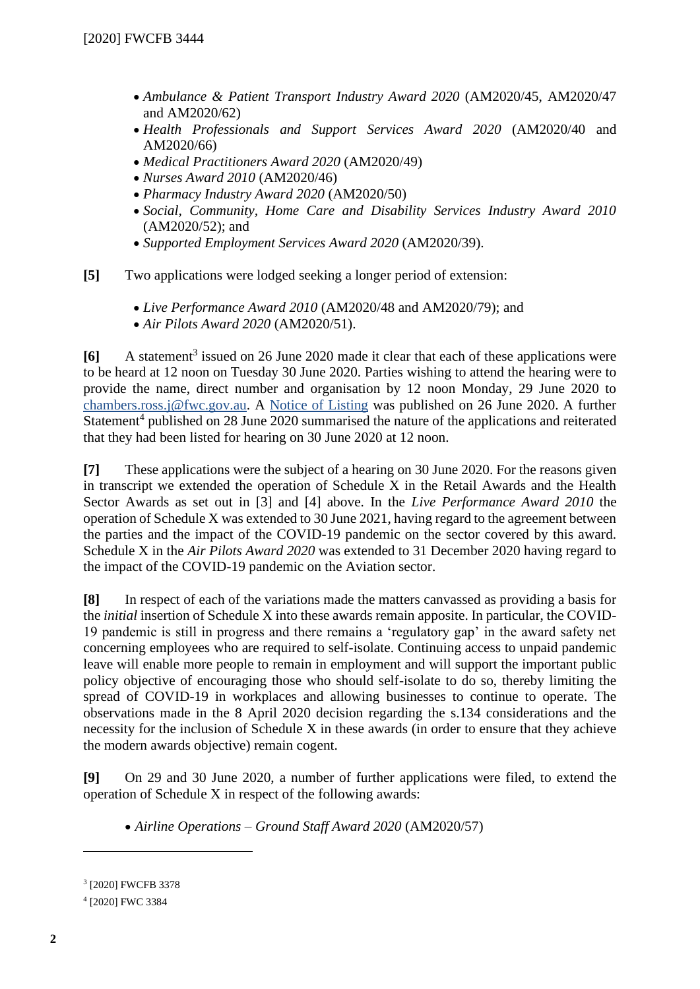- *Ambulance & Patient Transport Industry Award 2020* (AM2020/45, AM2020/47 and AM2020/62)
- *Health Professionals and Support Services Award 2020* (AM2020/40 and AM2020/66)
- *Medical Practitioners Award 2020* (AM2020/49)
- *Nurses Award 2010* (AM2020/46)
- *Pharmacy Industry Award 2020* (AM2020/50)
- *Social, Community, Home Care and Disability Services Industry Award 2010*  (AM2020/52); and
- *Supported Employment Services Award 2020* (AM2020/39).

**[5]** Two applications were lodged seeking a longer period of extension:

- *Live Performance Award 2010* (AM2020/48 and AM2020/79); and
- *Air Pilots Award 2020* (AM2020/51).

[6] A statement<sup>3</sup> issued on 26 June 2020 made it clear that each of these applications were to be heard at 12 noon on Tuesday 30 June 2020. Parties wishing to attend the hearing were to provide the name, direct number and organisation by 12 noon Monday, 29 June 2020 to [chambers.ross.j@fwc.gov.au.](mailto:chambers.ross.j@fwc.gov.au) A [Notice of Listing](https://www.fwc.gov.au/documents/documents/awardmod/variations/2020/nol-am202034andors-300620.pdf) was published on 26 June 2020. A further Statement<sup>4</sup> published on 28 June 2020 summarised the nature of the applications and reiterated that they had been listed for hearing on 30 June 2020 at 12 noon.

**[7]** These applications were the subject of a hearing on 30 June 2020. For the reasons given in transcript we extended the operation of Schedule X in the Retail Awards and the Health Sector Awards as set out in [3] and [4] above. In the *Live Performance Award 2010* the operation of Schedule X was extended to 30 June 2021, having regard to the agreement between the parties and the impact of the COVID-19 pandemic on the sector covered by this award. Schedule X in the *Air Pilots Award 2020* was extended to 31 December 2020 having regard to the impact of the COVID-19 pandemic on the Aviation sector.

**[8]** In respect of each of the variations made the matters canvassed as providing a basis for the *initial* insertion of Schedule X into these awards remain apposite. In particular, the COVID-19 pandemic is still in progress and there remains a 'regulatory gap' in the award safety net concerning employees who are required to self-isolate. Continuing access to unpaid pandemic leave will enable more people to remain in employment and will support the important public policy objective of encouraging those who should self-isolate to do so, thereby limiting the spread of COVID-19 in workplaces and allowing businesses to continue to operate. The observations made in the 8 April 2020 decision regarding the s.134 considerations and the necessity for the inclusion of Schedule X in these awards (in order to ensure that they achieve the modern awards objective) remain cogent.

**[9]** On 29 and 30 June 2020, a number of further applications were filed, to extend the operation of Schedule X in respect of the following awards:

• *Airline Operations – Ground Staff Award 2020* (AM2020/57)

<sup>3</sup> [2020] FWCFB 3378

<sup>4</sup> [2020] FWC 3384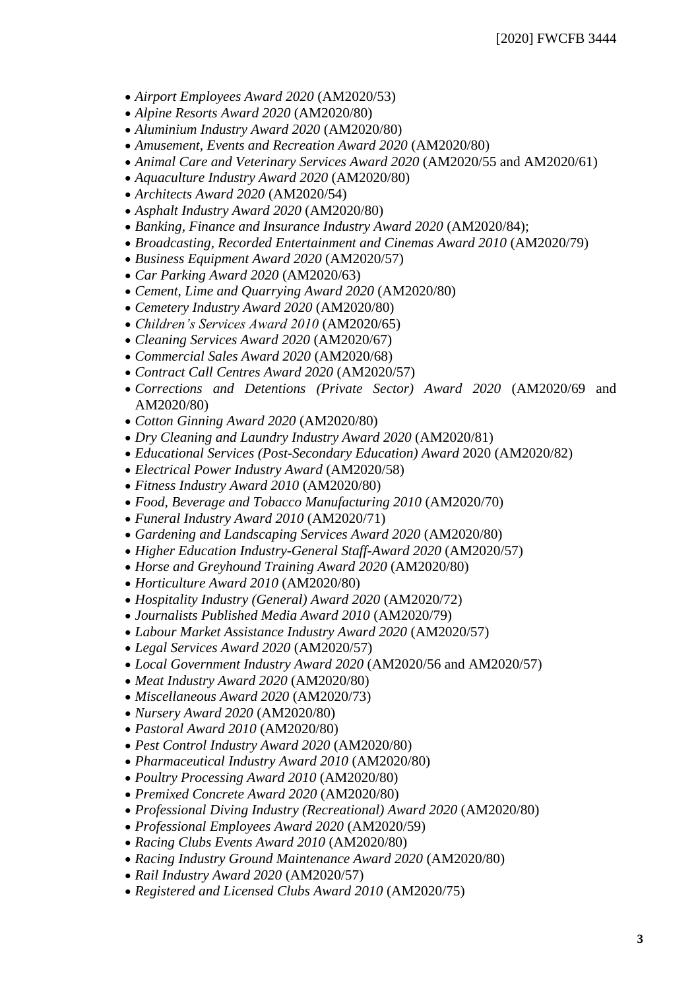- *Airport Employees Award 2020* (AM2020/53)
- *Alpine Resorts Award 2020* (AM2020/80)
- *Aluminium Industry Award 2020* (AM2020/80)
- *Amusement, Events and Recreation Award 2020* (AM2020/80)
- *Animal Care and Veterinary Services Award 2020* (AM2020/55 and AM2020/61)
- *Aquaculture Industry Award 2020* (AM2020/80)
- *Architects Award 2020* (AM2020/54)
- *Asphalt Industry Award 2020* (AM2020/80)
- *Banking, Finance and Insurance Industry Award 2020* (AM2020/84);
- *Broadcasting, Recorded Entertainment and Cinemas Award 2010* (AM2020/79)
- *Business Equipment Award 2020* (AM2020/57)
- *Car Parking Award 2020* (AM2020/63)
- *Cement, Lime and Quarrying Award 2020* (AM2020/80)
- *Cemetery Industry Award 2020* (AM2020/80)
- *Children's Services Award 2010* (AM2020/65)
- *Cleaning Services Award 2020* (AM2020/67)
- *Commercial Sales Award 2020* (AM2020/68)
- *Contract Call Centres Award 2020* (AM2020/57)
- *Corrections and Detentions (Private Sector) Award 2020* (AM2020/69 and AM2020/80)
- *Cotton Ginning Award 2020* (AM2020/80)
- *Dry Cleaning and Laundry Industry Award 2020* (AM2020/81)
- *Educational Services (Post-Secondary Education) Award* 2020 (AM2020/82)
- *Electrical Power Industry Award* (AM2020/58)
- *Fitness Industry Award 2010* (AM2020/80)
- *Food, Beverage and Tobacco Manufacturing 2010* (AM2020/70)
- *Funeral Industry Award 2010* (AM2020/71)
- *Gardening and Landscaping Services Award 2020* (AM2020/80)
- *Higher Education Industry-General Staff-Award 2020* (AM2020/57)
- *Horse and Greyhound Training Award 2020* (AM2020/80)
- *Horticulture Award 2010* (AM2020/80)
- *Hospitality Industry (General) Award 2020* (AM2020/72)
- *Journalists Published Media Award 2010* (AM2020/79)
- *Labour Market Assistance Industry Award 2020* (AM2020/57)
- *Legal Services Award 2020* (AM2020/57)
- *Local Government Industry Award 2020* (AM2020/56 and AM2020/57)
- *Meat Industry Award 2020* (AM2020/80)
- *Miscellaneous Award 2020* (AM2020/73)
- *Nursery Award 2020* (AM2020/80)
- *Pastoral Award 2010* (AM2020/80)
- *Pest Control Industry Award 2020* (AM2020/80)
- *Pharmaceutical Industry Award 2010* (AM2020/80)
- *Poultry Processing Award 2010* (AM2020/80)
- *Premixed Concrete Award 2020* (AM2020/80)
- *Professional Diving Industry (Recreational) Award 2020* (AM2020/80)
- *Professional Employees Award 2020* (AM2020/59)
- *Racing Clubs Events Award 2010* (AM2020/80)
- *Racing Industry Ground Maintenance Award 2020* (AM2020/80)
- *Rail Industry Award 2020* (AM2020/57)
- *Registered and Licensed Clubs Award 2010* (AM2020/75)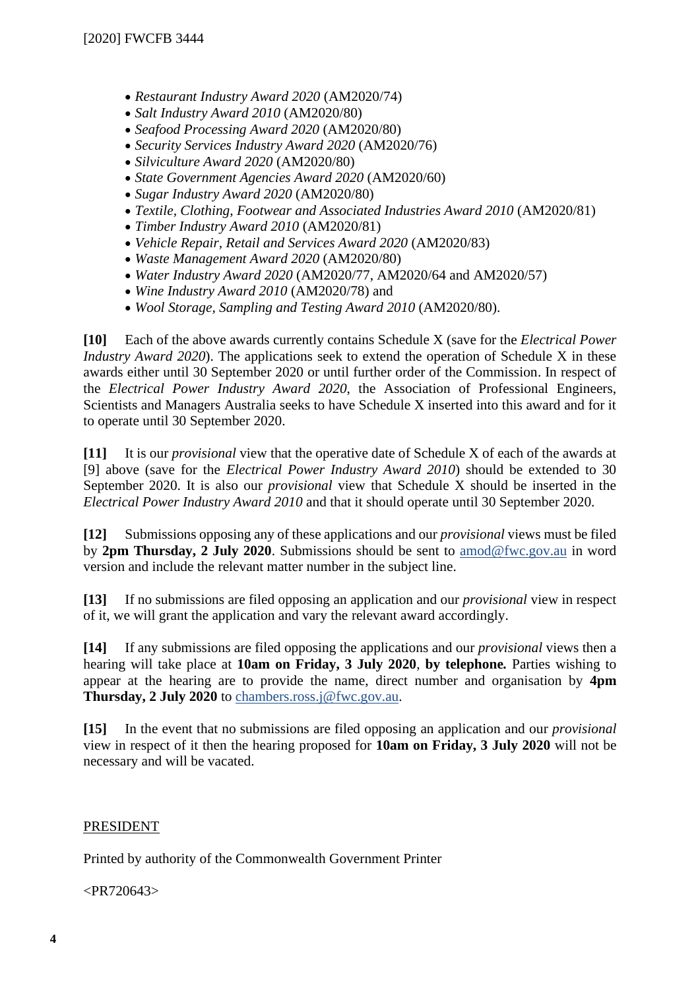- *Restaurant Industry Award 2020* (AM2020/74)
- *Salt Industry Award 2010* (AM2020/80)
- *Seafood Processing Award 2020* (AM2020/80)
- *Security Services Industry Award 2020* (AM2020/76)
- *Silviculture Award 2020* (AM2020/80)
- *State Government Agencies Award 2020* (AM2020/60)
- *Sugar Industry Award 2020* (AM2020/80)
- *Textile, Clothing, Footwear and Associated Industries Award 2010* (AM2020/81)
- *Timber Industry Award 2010* (AM2020/81)
- *Vehicle Repair, Retail and Services Award 2020* (AM2020/83)
- *Waste Management Award 2020* (AM2020/80)
- *Water Industry Award 2020* (AM2020/77, AM2020/64 and AM2020/57)
- *Wine Industry Award 2010* (AM2020/78) and
- *Wool Storage, Sampling and Testing Award 2010* (AM2020/80).

**[10]** Each of the above awards currently contains Schedule X (save for the *Electrical Power Industry Award 2020*). The applications seek to extend the operation of Schedule X in these awards either until 30 September 2020 or until further order of the Commission. In respect of the *Electrical Power Industry Award 2020*, the Association of Professional Engineers, Scientists and Managers Australia seeks to have Schedule X inserted into this award and for it to operate until 30 September 2020.

**[11]** It is our *provisional* view that the operative date of Schedule X of each of the awards at [9] above (save for the *Electrical Power Industry Award 2010*) should be extended to 30 September 2020. It is also our *provisional* view that Schedule X should be inserted in the *Electrical Power Industry Award 2010* and that it should operate until 30 September 2020.

**[12]** Submissions opposing any of these applications and our *provisional* views must be filed by **2pm Thursday, 2 July 2020**. Submissions should be sent to [amod@fwc.gov.au](mailto:amod@fwc.gov.au) in word version and include the relevant matter number in the subject line.

**[13]** If no submissions are filed opposing an application and our *provisional* view in respect of it, we will grant the application and vary the relevant award accordingly.

**[14]** If any submissions are filed opposing the applications and our *provisional* views then a hearing will take place at **10am on Friday, 3 July 2020**, **by telephone***.* Parties wishing to appear at the hearing are to provide the name, direct number and organisation by **4pm Thursday, 2 July 2020** to [chambers.ross.j@fwc.gov.au.](mailto:chambers.ross.j@fwc.gov.au)

**[15]** In the event that no submissions are filed opposing an application and our *provisional*  view in respect of it then the hearing proposed for **10am on Friday, 3 July 2020** will not be necessary and will be vacated.

#### PRESIDENT

Printed by authority of the Commonwealth Government Printer

<PR720643>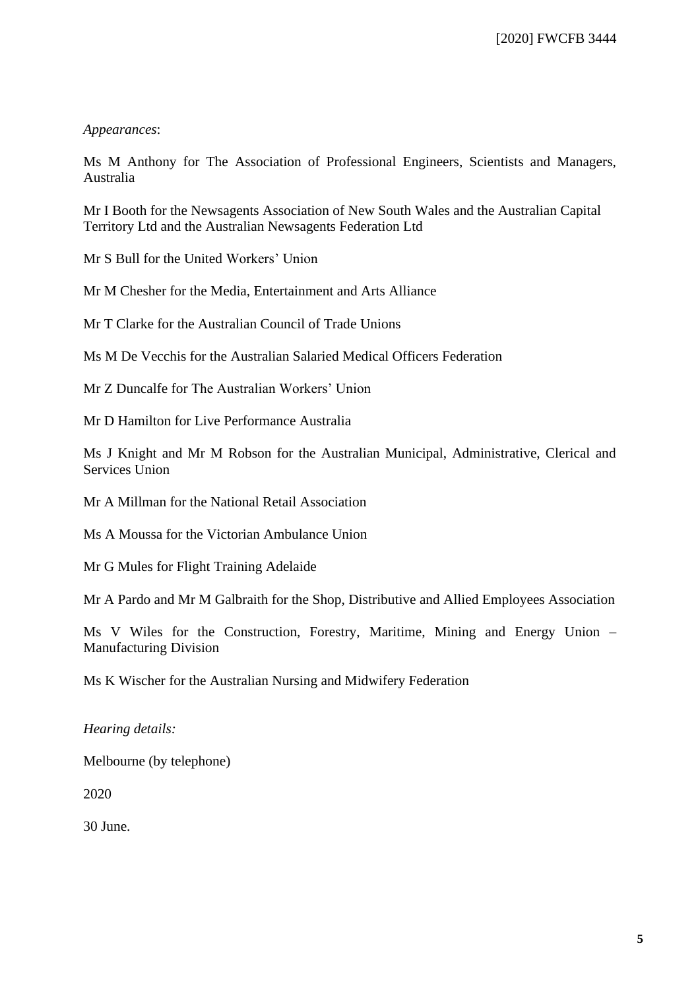#### *Appearances*:

Ms M Anthony for The Association of Professional Engineers, Scientists and Managers, Australia

Mr I Booth for the Newsagents Association of New South Wales and the Australian Capital Territory Ltd and the Australian Newsagents Federation Ltd

Mr S Bull for the United Workers' Union

Mr M Chesher for the Media, Entertainment and Arts Alliance

Mr T Clarke for the Australian Council of Trade Unions

Ms M De Vecchis for the Australian Salaried Medical Officers Federation

Mr Z Duncalfe for The Australian Workers' Union

Mr D Hamilton for Live Performance Australia

Ms J Knight and Mr M Robson for the Australian Municipal, Administrative, Clerical and Services Union

Mr A Millman for the National Retail Association

Ms A Moussa for the Victorian Ambulance Union

Mr G Mules for Flight Training Adelaide

Mr A Pardo and Mr M Galbraith for the Shop, Distributive and Allied Employees Association

Ms V Wiles for the Construction, Forestry, Maritime, Mining and Energy Union – Manufacturing Division

Ms K Wischer for the Australian Nursing and Midwifery Federation

*Hearing details:*

Melbourne (by telephone)

2020

30 June.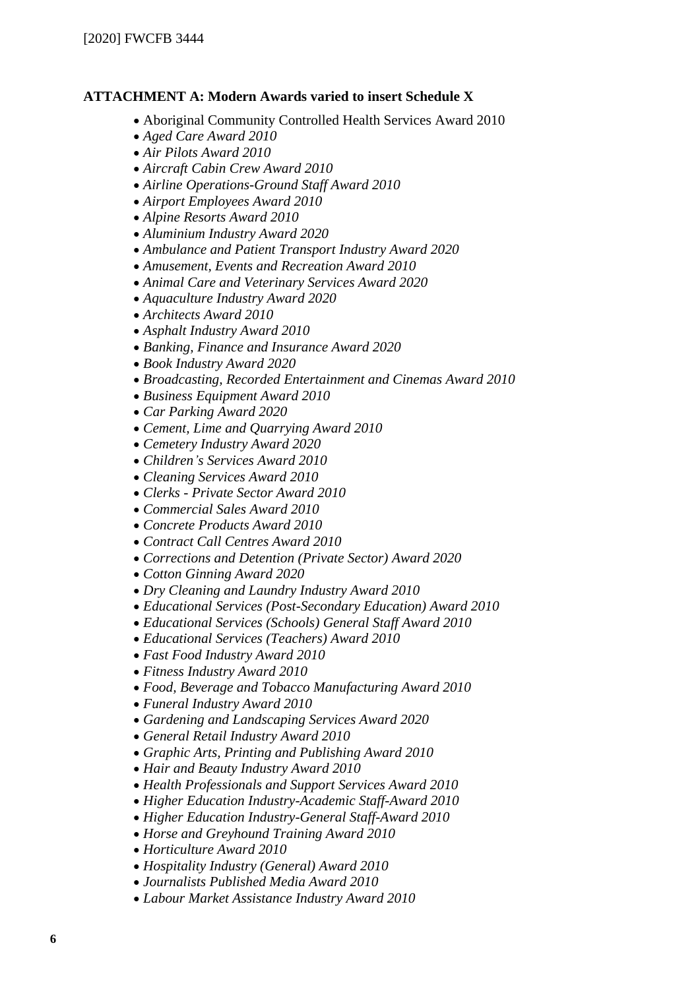### **ATTACHMENT A: Modern Awards varied to insert Schedule X**

- Aboriginal Community Controlled Health Services Award 2010
- *Aged Care Award 2010*
- *Air Pilots Award 2010*
- *Aircraft Cabin Crew Award 2010*
- *Airline Operations-Ground Staff Award 2010*
- *Airport Employees Award 2010*
- *Alpine Resorts Award 2010*
- *Aluminium Industry Award 2020*
- *Ambulance and Patient Transport Industry Award 2020*
- *Amusement, Events and Recreation Award 2010*
- *Animal Care and Veterinary Services Award 2020*
- *Aquaculture Industry Award 2020*
- *Architects Award 2010*
- *Asphalt Industry Award 2010*
- *Banking, Finance and Insurance Award 2020*
- *Book Industry Award 2020*
- *Broadcasting, Recorded Entertainment and Cinemas Award 2010*
- *Business Equipment Award 2010*
- *Car Parking Award 2020*
- *Cement, Lime and Quarrying Award 2010*
- *Cemetery Industry Award 2020*
- *Children's Services Award 2010*
- *Cleaning Services Award 2010*
- *Clerks - Private Sector Award 2010*
- *Commercial Sales Award 2010*
- *Concrete Products Award 2010*
- *Contract Call Centres Award 2010*
- *Corrections and Detention (Private Sector) Award 2020*
- *Cotton Ginning Award 2020*
- *Dry Cleaning and Laundry Industry Award 2010*
- *Educational Services (Post-Secondary Education) Award 2010*
- *Educational Services (Schools) General Staff Award 2010*
- *Educational Services (Teachers) Award 2010*
- *Fast Food Industry Award 2010*
- *Fitness Industry Award 2010*
- *Food, Beverage and Tobacco Manufacturing Award 2010*
- *Funeral Industry Award 2010*
- *Gardening and Landscaping Services Award 2020*
- *General Retail Industry Award 2010*
- *Graphic Arts, Printing and Publishing Award 2010*
- *Hair and Beauty Industry Award 2010*
- *Health Professionals and Support Services Award 2010*
- *Higher Education Industry-Academic Staff-Award 2010*
- *Higher Education Industry-General Staff-Award 2010*
- *Horse and Greyhound Training Award 2010*
- *Horticulture Award 2010*
- *Hospitality Industry (General) Award 2010*
- *Journalists Published Media Award 2010*
- *Labour Market Assistance Industry Award 2010*